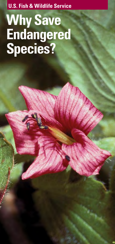**U.S. Fish & Wildlife Service**

**Why Save Endangered Species?**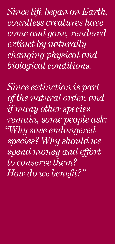*Since life began on Earth, countless creatures have come and gone, rendered extinct by naturally changing physical and biological conditions.*

*Since extinction is part of the natural order, and if many other species remain, some people ask: "Why save endangered species? Why should we spend money and effort to conserve them? How do we benefit?"*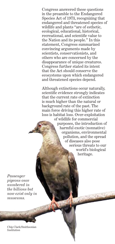Congress answered these questions in the preamble to the Endangered Species Act of 1973, recognizing that endangered and threatened species of wildlife and plants "are of esthetic, ecological, educational, historical, recreational, and scientific value to the Nation and its people." In this statement, Congress summarized convincing arguments made by scientists, conservationists, and others who are concerned by the disappearance of unique creatures. Congress further stated its intent that the Act should conserve the ecosystems upon which endangered and threatened species depend.

Although extinctions occur naturally, scientific evidence strongly indicates that the current rate of extinction is much higher than the natural or background rate of the past. The main force driving this higher rate of loss is habitat loss. Over-exploitation

> of wildlife for commercial purposes, the introduction of harmful exotic (nonnative) organisms, environmental pollution, and the spread of diseases also pose serious threats to our world's biological heritage.

*Passenger pigeons once numbered in the billions but now exist only in museums.*

Chip Clark/Smithsonian Institution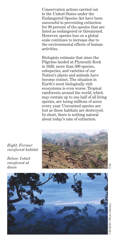Conservation actions carried out in the United States under the Endangered Species Act have been successful in preventing extinction for 99 percent of the species that are listed as endangered or threatened. However, species loss on a global scale continues to increase due to the environmental effects of human activities.

Biologists estimate that since the Pilgrims landed at Plymouth Rock in 1620, more than 500 species, subspecies, and varieties of our Nation's plants and animals have become extinct. The situation in Earth's most biologically rich ecosystems is even worse. Tropical rainforests around the world, which may contain up to one half of all living species, are losing millions of acres every year. Uncounted species are lost as these habitats are destroyed. In short, there is nothing natural about today's rate of extinction.



*Right: Former rainforest habitat*

*Below: Intact rainforest at dawn*

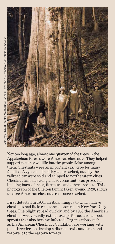

Not too long ago, almost one quarter of the trees in the Appalachian forests were American chestnuts. They helped support not only wildlife but the people living among them. Chestnuts were an important cash crop for many families. As year-end holidays approached, nuts by the railroad car were sold and shipped to northeastern cities. Chestnut timber, strong and rot resistant, was prized for building barns, fences, furniture, and other products. This photograph of the Shelton family, taken around 1920, shows the size American chestnut trees once reached.

First detected in 1904, an Asian fungus to which native chestnuts had little resistance appeared in New York City trees. The blight spread quickly, and by 1950 the American chestnut was virtually extinct except for occasional root sprouts that also became infected. Organizations such as the American Chestnut Foundation are working with plant breeders to develop a disease resistant strain and restore it to the eastern forests.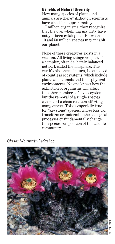# **Benefits of Natural Diversity**

How many species of plants and animals are there? Although scientists have classified approximately 1.7 million organisms, they recognize that the overwhelming majority have not yet been catalogued. Between 10 and 50 million species may inhabit our planet.

None of these creatures exists in a vacuum. All living things are part of a complex, often delicately balanced network called the biosphere. The earth's biosphere, in turn, is composed of countless ecosystems, which include plants and animals and their physical environments. No one knows how the extinction of organisms will affect the other members of its ecosystem, but the removal of a single species can set off a chain reaction affecting many others. This is especially true for "keystone" species, whose loss can transform or undermine the ecological processes or fundamentally change the species composition of the wildlife community.

*Chisos Mountain hedgehog*

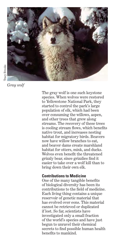

*Gray wolf*

The gray wolf is one such keystone species. When wolves were restored to Yellowstone National Park, they started to control the park's large population of elk, which had been over consuming the willows, aspen, and other trees that grew along streams. The recovery of these trees is cooling stream flows, which benefits native trout, and increases nesting habitat for migratory birds. Beavers now have willow branches to eat, and beaver dams create marshland habitat for otters, mink, and ducks. Wolves even benefit the threatened grizzly bear, since grizzlies find it easier to take over a wolf kill than to bring down their own elk.

## **Contributions to Medicine**

One of the many tangible benefits of biological diversity has been its contributions to the field of medicine. Each living thing contains a unique reservoir of genetic material that has evolved over eons. This material cannot be retrieved or duplicated if lost. So far, scientists have investigated only a small fraction of the world's species and have just begun to unravel their chemical secrets to find possible human health benefits to mankind.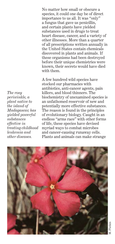No matter how small or obscure a species, it could one day be of direct importance to us all. It was "only" a fungus that gave us penicillin, and certain plants have yielded substances used in drugs to treat heart disease, cancer, and a variety of other illnesses. More than a quarter of all prescriptions written annually in the United States contain chemicals discovered in plants and animals. If these organisms had been destroyed before their unique chemistries were known, their secrets would have died with them.

A few hundred wild species have stocked our pharmacies with antibiotics, anti-cancer agents, pain killers, and blood thinners. The biochemistry of unexamined species is an unfathomed reservoir of new and potentially more effective substances. The reason is found in the principles of evolutionary biology. Caught in an endless "arms race" with other forms of life, these species have devised myriad ways to combat microbes and cancer-causing runaway cells. Plants and animals can make strange



*The rosy periwinkle, a plant native to the island of Madagascar, has yielded powerful substances effective in treating childhood leukemia and other diseases.*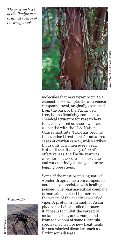Dave Powell/U.S. Forest Service ive Powell/U.S. Forest Servic

*The peeling bark of the Pacific yew, original source of the drug taxol.*



molecules that may never occur to a chemist. For example, the anti-cancer compound taxol, originally extracted from the bark of the Pacific yew tree, is "too fiendishly complex" a chemical structure for researchers to have invented on their own, said a scientist with the U.S. National Cancer Institute. Taxol has become the standard treatment for advanced cases of ovarian cancer, which strikes thousands of women every year. But until the discovery of taxol's effectiveness, the Pacific yew was considered a weed tree of no value and was routinely destroyed during logging operations.

Some of the most promising natural wonder drugs come from compounds not usually associated with healing: poisons. One pharmaceutical company is marketing a blood thinner based on the venom of the deadly saw-scaled viper. A protein from another Asian pit viper is being studied because it appears to inhibit the spread of melanoma cells, and a compound from the venom of some tarantula species may lead to new treatments for neurological disorders such as Parkinson's disease.

*Tarantula*

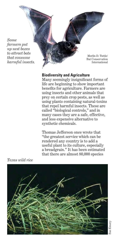*Some farmers put up nest boxes to attract bats that consume harmful insects.*

Merlin D. Tuttle/ Bat Conservation International

## **Biodiversity and Agriculture**

Many seemingly insignificant forms of life are beginning to show important benefits for agriculture. Farmers are using insects and other animals that prey on certain crop pests, as well as using plants containing natural-toxins that repel harmful insects. These are called "biological controls," and in many cases they are a safe, effective, and less expensive alternative to synthetic chemicals.

Thomas Jefferson once wrote that "the greatest service which can be rendered any country is to add a useful plant to its culture, especially a breadgrain." It has been estimated that there are almost 80,000 species

*Texas wild rice*

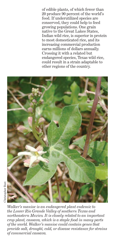of edible plants, of which fewer than 20 produce 90 percent of the world's food. If underutilized species are conserved, they could help to feed growing populations. One grain native to the Great Lakes States, Indian wild rice, is superior in protein to most domesticated rice, and its increasing commercial production earns millions of dollars annually. Crossing it with a related but endangered species, Texas wild rice, could result in a strain adaptable to other regions of the country.



*Walker's manioc is an endangered plant endemic to the Lower Rio Grande Valley of southern Texas and northeastern Mexico. It is closely related to an important crop plant, cassava, which is a staple food in many parts of the world. Walker's manioc could contain genes that provide salt, drought, cold, or disease resistance for strains of commercial cassava.*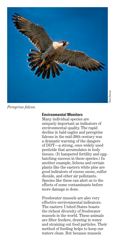

### *Peregrine falcon*

#### **Environmental Monitors**

Many individual species are uniquely important as indicators of environmental quality. The rapid decline in bald eagles and peregrine falcons in the mid-20th century was a dramatic warning of the dangers of DDT—a strong, once widely used pesticide that accumulates in body tissues. (It hampered fertility and egghatching success in these species.) In another example, lichens and certain plants like the eastern white pine are good indicators of excess ozone, sulfur dioxide, and other air pollutants. Species like these can alert us to the effects of some contaminants before more damage is done.

Freshwater mussels are also very effective environmental indicators. The eastern United States boasts the richest diversity of freshwater mussels in the world. These animals are filter feeders, drawing in water and straining out food particles. Their method of feeding helps to keep our waters clean. But because mussels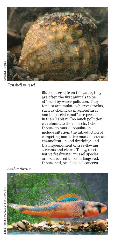

filter material from the water, they are often the first animals to be affected by water pollution. They tend to accumulate whatever toxins, such as chemicals in agricultural and industrial runoff, are present in their habitat. Too much pollution can eliminate the mussels. Other threats to mussel populations include siltation, the introduction of competing nonnative mussels, stream channelization and dredging, and the impoundment of free-flowing streams and rivers. Today, most native freshwater mussel species are considered to be endangered, threatened, or of special concern.

## *Amber darter*



*Fanshell mussel*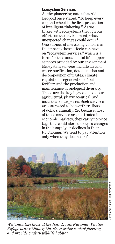# **Ecosystem Services**

As the pioneering naturalist Aldo Leopold once stated, "To keep every cog and wheel is the first precaution of intelligent tinkering." As we tinker with ecosystems through our effects on the environment, what unexpected changes could occur? One subject of increasing concern is the impacts these effects can have on "ecosystem services," which is a term for the fundamental life-support services provided by our environment. Ecosystem services include air and water purification, detoxification and decomposition of wastes, climate regulation, regeneration of soil fertility, and the production and maintenance of biological diversity. These are the key ingredients of our agricultural, pharmaceutical, and industrial enterprises. Such services are estimated to be worth trillions of dollars annually. Yet because most of these services are not traded in economic markets, they carry no price tags that could alert society to changes in their supply or declines in their functioning. We tend to pay attention only when they decline or fail.



*Wetlands, like those at the John Heinz National Wildlife Refuge near Philadelphia, clean water, control flooding, and provide quality wildlife habitat.*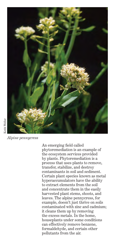

*Alpine pennycress*

An emerging field called phytoremediation is an example of the ecosystem services provided by plants. Phytoremediation is a process that uses plants to remove, transfer, stabilize, and destroy contaminants in soil and sediment. Certain plant species known as metal hyperaccumulators have the ability to extract elements from the soil and concentrate them in the easily harvested plant stems, shoots, and leaves. The alpine pennycress, for example, doesn't just thrive on soils contaminated with zinc and cadmium; it cleans them up by removing the excess metals. In the home, houseplants under some conditions can effectively remove benzene, formaldehyde, and certain other pollutants from the air.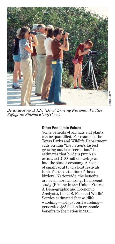

*Birdwatching at J.N. "Ding" Darling National Wildlife Refuge on Florida's Gulf Coast.*

## **Other Economic Values**

Some benefits of animals and plants can be quantified. For example, the Texas Parks and Wildlife Department calls birding "the nation's fastest growing outdoor recreation." It estimates that birders pump an estimated \$400 million each year into the state's economy. A host of small rural towns host festivals to vie for the attention of these birders. Nationwide, the benefits are even more amazing. In a recent study (Birding in the United States: A Demographic and Economic Analysis), the U.S. Fish and Wildlife Service estimated that wildlife watching—not just bird watching generated \$85 billion in economic benefits to the nation in 2001.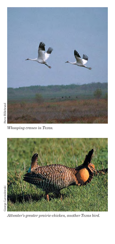

*Whooping cranes in Texas.*



*Attwater's greater prairie-chicken, another Texas bird.*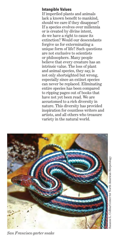## **Intangible Values**

If imperiled plants and animals lack a known benefit to mankind, should we care if they disappear? If a species evolves over millennia or is created by divine intent, do we have a right to cause its extinction? Would our descendants forgive us for exterminating a unique form of life? Such questions are not exclusive to scientists or philosophers. Many people believe that every creature has an intrinsic value. The loss of plant and animal species, they say, is not only shortsighted but wrong, especially since an extinct species can never be replaced. Eliminating entire species has been compared to ripping pages out of books that have not yet been read. We are accustomed to a rich diversity in nature. This diversity has provided inspiration for countless writers and artists, and all others who treasure variety in the natural world.



*San Francisco garter snake*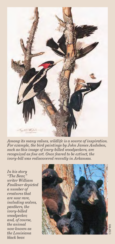

*Among its many values, wildlife is a source of inspiration. For example, the bird paintings by John James Audubon, such as this image of ivory-billed woodpeckers, are recognized as fine art. Once feared to be extinct, the ivory-bill was rediscovered recently in Arkansas.*

*In his story "The Bear," writer William Faulkner depicted a number of creatures that are now rare, including wolves, panthers, the ivory-billed woodpecker, and, of course, the animal now known as the Louisiana black bear.*